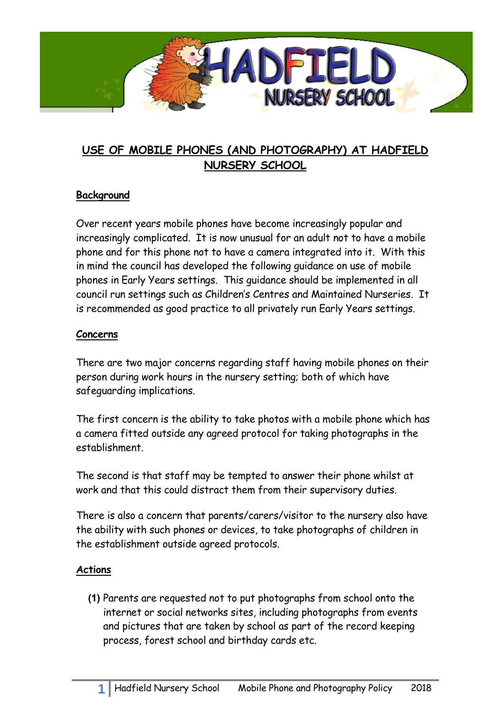

## **USE OF MOBILE PHONES (AND PHOTOGRAPHY) AT HADFIELD NURSERY SCHOOL**

## **Background**

Over recent years mobile phones have become increasingly popular and increasingly complicated. It is now unusual for an adult not to have a mobile phone and for this phone not to have a camera integrated into it. With this in mind the council has developed the following guidance on use of mobile phones in Early Years settings. This guidance should be implemented in all council run settings such as Children's Centres and Maintained Nurseries. It is recommended as good practice to all privately run Early Years settings.

## **Concerns**

There are two major concerns regarding staff having mobile phones on their person during work hours in the nursery setting; both of which have safeguarding implications.

The first concern is the ability to take photos with a mobile phone which has a camera fitted outside any agreed protocol for taking photographs in the establishment.

The second is that staff may be tempted to answer their phone whilst at work and that this could distract them from their supervisory duties.

There is also a concern that parents/carers/visitor to the nursery also have the ability with such phones or devices, to take photographs of children in the establishment outside agreed protocols.

## **Actions**

**(1)** Parents are requested not to put photographs from school onto the internet or social networks sites, including photographs from events and pictures that are taken by school as part of the record keeping process, forest school and birthday cards etc.